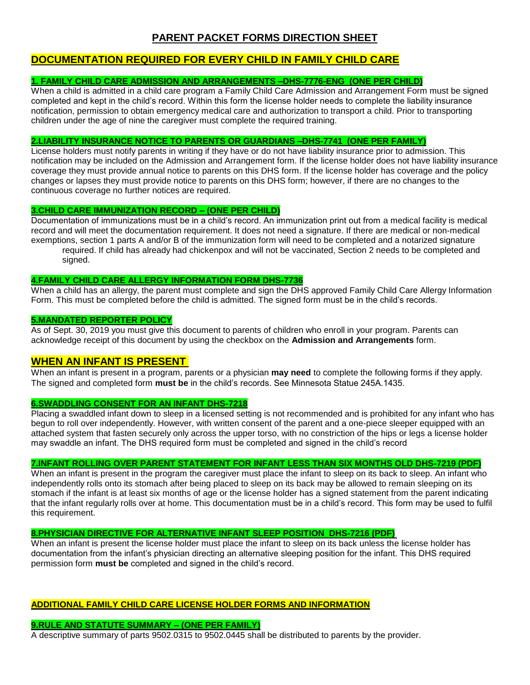# **PARENT PACKET FORMS DIRECTION SHEET**

# **DOCUMENTATION REQUIRED FOR EVERY CHILD IN FAMILY CHILD CARE**

# **1. FAMILY CHILD CARE ADMISSION AND ARRANGEMENTS –DHS-7776-ENG (ONE PER CHILD)**

When a child is admitted in a child care program a Family Child Care Admission and Arrangement Form must be signed completed and kept in the child's record. Within this form the license holder needs to complete the liability insurance notification, permission to obtain emergency medical care and authorization to transport a child. Prior to transporting children under the age of nine the caregiver must complete the required training.

#### **2.LIABILITY INSURANCE NOTICE TO PARENTS OR GUARDIANS –DHS-7741 (ONE PER FAMILY)**

License holders must notify parents in writing if they have or do not have liability insurance prior to admission. This notification may be included on the Admission and Arrangement form. If the license holder does not have liability insurance coverage they must provide annual notice to parents on this DHS form. If the license holder has coverage and the policy changes or lapses they must provide notice to parents on this DHS form; however, if there are no changes to the continuous coverage no further notices are required.

#### **3.CHILD CARE IMMUNIZATION RECORD – (ONE PER CHILD)**

Documentation of immunizations must be in a child's record. An immunization print out from a medical facility is medical record and will meet the documentation requirement. It does not need a signature. If there are medical or non-medical exemptions, section 1 parts A and/or B of the immunization form will need to be completed and a notarized signature required. If child has already had chickenpox and will not be vaccinated, Section 2 needs to be completed and signed.

#### **4.FAMILY CHILD CARE ALLERGY INFORMATION FORM DHS-7736**

When a child has an allergy, the parent must complete and sign the DHS approved Family Child Care Allergy Information Form. This must be completed before the child is admitted. The signed form must be in the child's records.

#### **5.MANDATED REPORTER POLICY**

As of Sept. 30, 2019 you must give this document to parents of children who enroll in your program. Parents can acknowledge receipt of this document by using the checkbox on the **Admission and Arrangements** form.

# **WHEN AN INFANT IS PRESENT**

When an infant is present in a program, parents or a physician **may need** to complete the following forms if they apply. The signed and completed form **must be** in the child's records. See Minnesota Statue 245A.1435.

#### **6.SWADDLING CONSENT FOR AN INFANT DHS-7218**

Placing a swaddled infant down to sleep in a licensed setting is not recommended and is prohibited for any infant who has begun to roll over independently. However, with written consent of the parent and a one-piece sleeper equipped with an attached system that fasten securely only across the upper torso, with no constriction of the hips or legs a license holder may swaddle an infant. The DHS required form must be completed and signed in the child's record

#### **7.INFANT ROLLING OVER PARENT STATEMENT FOR INFANT LESS THAN SIX MONTHS OLD DHS-7219 (PDF)**

When an infant is present in the program the caregiver must place the infant to sleep on its back to sleep. An infant who independently rolls onto its stomach after being placed to sleep on its back may be allowed to remain sleeping on its stomach if the infant is at least six months of age or the license holder has a signed statement from the parent indicating that the infant regularly rolls over at home. This documentation must be in a child's record. This form may be used to fulfil this requirement.

#### **8.PHYSICIAN DIRECTIVE FOR ALTERNATIVE INFANT SLEEP POSITION DHS-7216 (PDF)**

When an infant is present the license holder must place the infant to sleep on its back unless the license holder has documentation from the infant's physician directing an alternative sleeping position for the infant. This DHS required permission form **must be** completed and signed in the child's record.

# **ADDITIONAL FAMILY CHILD CARE LICENSE HOLDER FORMS AND INFORMATION**

# **9.RULE AND STATUTE SUMMARY – (ONE PER FAMILY)**

A descriptive summary of parts 9502.0315 to 9502.0445 shall be distributed to parents by the provider.